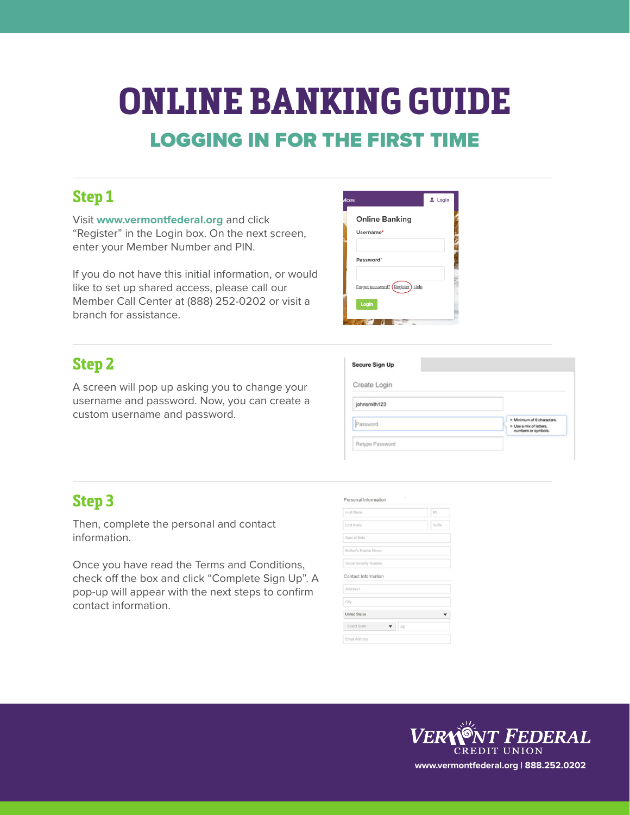# **ONLINE BANKING GUIDE** LOGGING IN FOR THE FIRST TIME

### **Step 1**

Visit **www.vermontfederal.org** and click "Register" in the Login box. On the next screen, enter your Member Number and PIN.

If you do not have this initial information, or would like to set up shared access, please call our Member Call Center at (888) 252-0202 or visit a branch for assistance.

#### **Step 2**

A screen will pop up asking you to change your username and password. Now, you can create a custom username and password.

| ices                               | $L$ Login |
|------------------------------------|-----------|
| <b>Online Banking</b><br>Username* |           |
| Password*                          |           |
| Forgot password? Register<br>Help  |           |
| Login                              |           |

| Create Login |                                                                              |
|--------------|------------------------------------------------------------------------------|
| johnsmith123 |                                                                              |
| Password     | > Minimum of 6 characters.<br>> Use a mix of letters.<br>numbers or symbols. |

#### **Step 3**

Then, complete the personal and contact information.

Once you have read the Terms and Conditions, check off the box and click "Complete Sign Up". A pop-up will appear with the next steps to confirm contact information.

| <b>First Name</b>      | MI     |
|------------------------|--------|
| Last Name              | Suffix |
| Date of Birth          |        |
| Mother's Maiden Name   |        |
| Social Security Number |        |
| Contact Information    |        |
| Address1               |        |
| City                   |        |
| <b>United States</b>   |        |
|                        |        |